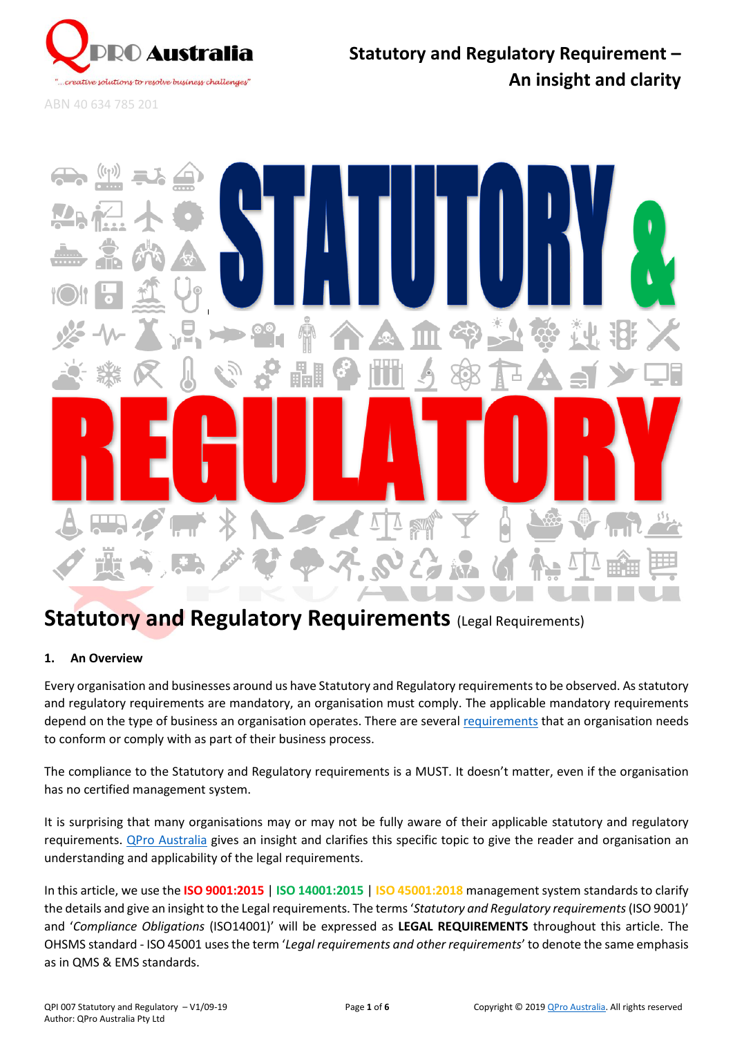

ABN 40 634 785 201



# **Statutory and Regulatory Requirements** (Legal Requirements)

# **1. An Overview**

Every organisation and businesses around us have Statutory and Regulatory requirements to be observed. As statutory and regulatory requirements are mandatory, an organisation must comply. The applicable mandatory requirements depend on the type of business an organisation operates. There are several [requirements](#page-2-0) that an organisation needs to conform or comply with as part of their business process.

The compliance to the Statutory and Regulatory requirements is a MUST. It doesn't matter, even if the organisation has no certified management system.

It is surprising that many organisations may or may not be fully aware of their applicable statutory and regulatory requirements. [QPro Australia](http://www.qproaustralia.com.au/) gives an insight and clarifies this specific topic to give the reader and organisation an understanding and applicability of the legal requirements.

In this article, we use the **ISO 9001:2015** | **ISO 14001:2015** | **ISO 45001:2018** management system standards to clarify the details and give an insight to the Legal requirements. The terms'*Statutory and Regulatory requirements*(ISO 9001)' and '*Compliance Obligations* (ISO14001)' will be expressed as **LEGAL REQUIREMENTS** throughout this article. The OHSMS standard - ISO 45001 uses the term '*Legal requirements and other requirements*' to denote the same emphasis as in QMS & EMS standards.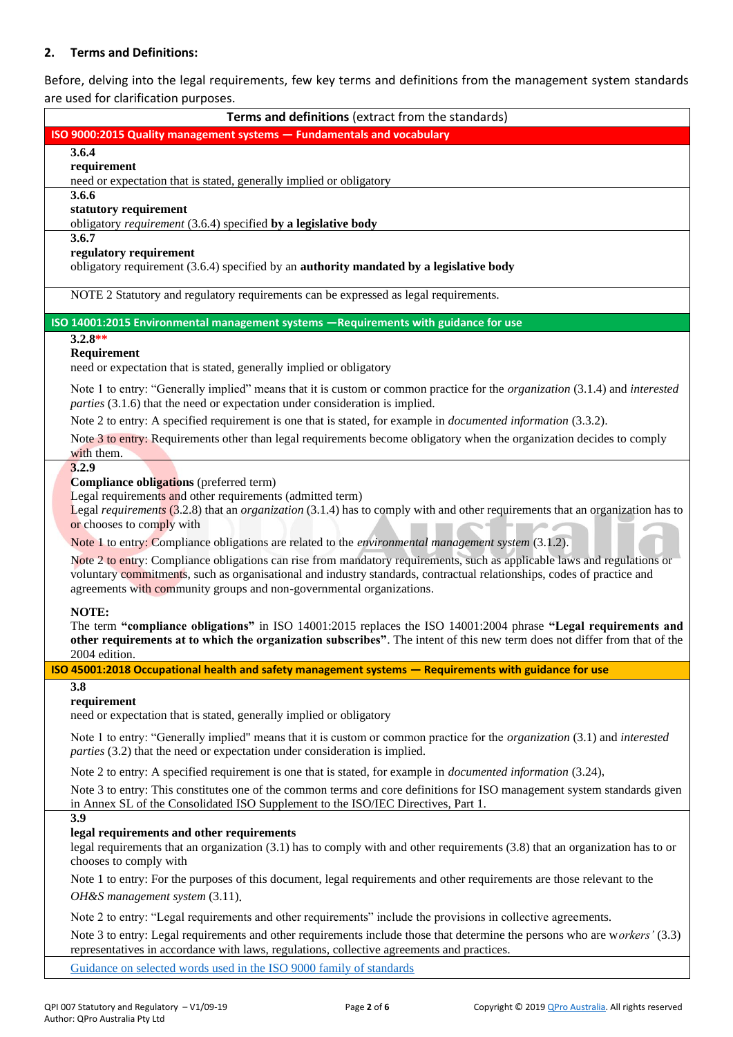### **2. Terms and Definitions:**

Before, delving into the legal requirements, few key terms and definitions from the management system standards

| are used for clarification purposes.                                                                                                                                                                                             |
|----------------------------------------------------------------------------------------------------------------------------------------------------------------------------------------------------------------------------------|
| Terms and definitions (extract from the standards)                                                                                                                                                                               |
| ISO 9000:2015 Quality management systems - Fundamentals and vocabulary                                                                                                                                                           |
| 3.6.4                                                                                                                                                                                                                            |
| requirement                                                                                                                                                                                                                      |
| need or expectation that is stated, generally implied or obligatory<br>3.6.6                                                                                                                                                     |
| statutory requirement                                                                                                                                                                                                            |
| obligatory requirement (3.6.4) specified by a legislative body                                                                                                                                                                   |
| 3.6.7                                                                                                                                                                                                                            |
| regulatory requirement                                                                                                                                                                                                           |
| obligatory requirement (3.6.4) specified by an authority mandated by a legislative body                                                                                                                                          |
| NOTE 2 Statutory and regulatory requirements can be expressed as legal requirements.                                                                                                                                             |
| ISO 14001:2015 Environmental management systems -Requirements with guidance for use                                                                                                                                              |
| $3.2.8**$                                                                                                                                                                                                                        |
| Requirement                                                                                                                                                                                                                      |
| need or expectation that is stated, generally implied or obligatory                                                                                                                                                              |
| Note 1 to entry: "Generally implied" means that it is custom or common practice for the <i>organization</i> (3.1.4) and <i>interested</i><br><i>parties</i> (3.1.6) that the need or expectation under consideration is implied. |
| Note 2 to entry: A specified requirement is one that is stated, for example in <i>documented information</i> (3.3.2).                                                                                                            |
| Note 3 to entry: Requirements other than legal requirements become obligatory when the organization decides to comply                                                                                                            |
| with them.                                                                                                                                                                                                                       |
| 3.2.9                                                                                                                                                                                                                            |
| Compliance obligations (preferred term)                                                                                                                                                                                          |
| Legal requirements and other requirements (admitted term)<br>Legal requirements $(3.2.8)$ that an <i>organization</i> $(3.1.4)$ has to comply with and other requirements that an organization has to                            |
| or chooses to comply with                                                                                                                                                                                                        |
| Note 1 to entry: Compliance obligations are related to the <i>environmental management system</i> (3.1.2).                                                                                                                       |
| Note 2 to entry: Compliance obligations can rise from mandatory requirements, such as applicable laws and regulations or                                                                                                         |
| voluntary commitments, such as organisational and industry standards, contractual relationships, codes of practice and                                                                                                           |
| agreements with community groups and non-governmental organizations.                                                                                                                                                             |
| NOTE:                                                                                                                                                                                                                            |
| The term "compliance obligations" in ISO 14001:2015 replaces the ISO 14001:2004 phrase "Legal requirements and                                                                                                                   |
| other requirements at to which the organization subscribes". The intent of this new term does not differ from that of the                                                                                                        |
| 2004 edition.                                                                                                                                                                                                                    |
| ISO 45001:2018 Occupational health and safety management systems - Requirements with guidance for use                                                                                                                            |
| 3.8                                                                                                                                                                                                                              |
| requirement<br>need or expectation that is stated, generally implied or obligatory                                                                                                                                               |
|                                                                                                                                                                                                                                  |
| Note 1 to entry: "Generally implied" means that it is custom or common practice for the <i>organization</i> (3.1) and <i>interested</i><br>parties (3.2) that the need or expectation under consideration is implied.            |
| Note 2 to entry: A specified requirement is one that is stated, for example in <i>documented information</i> (3.24),                                                                                                             |
| Note 3 to entry: This constitutes one of the common terms and core definitions for ISO management system standards given                                                                                                         |
| in Annex SL of the Consolidated ISO Supplement to the ISO/IEC Directives, Part 1.                                                                                                                                                |
| 3.9                                                                                                                                                                                                                              |
| legal requirements and other requirements                                                                                                                                                                                        |
| legal requirements that an organization (3.1) has to comply with and other requirements (3.8) that an organization has to or<br>chooses to comply with                                                                           |
| Note 1 to entry: For the purposes of this document, legal requirements and other requirements are those relevant to the                                                                                                          |
| OH&S management system (3.11).                                                                                                                                                                                                   |
|                                                                                                                                                                                                                                  |
| Note 2 to entry: "Legal requirements and other requirements" include the provisions in collective agreements.                                                                                                                    |
| Note 3 to entry: Legal requirements and other requirements include those that determine the persons who are workers' (3.3)                                                                                                       |
| representatives in accordance with laws, regulations, collective agreements and practices.                                                                                                                                       |

[Guidance on selected words used in the ISO 9000 family of standards](https://www.iso.org/files/live/sites/isoorg/files/standards/docs/en/terminology-ISO9000-family.pdf)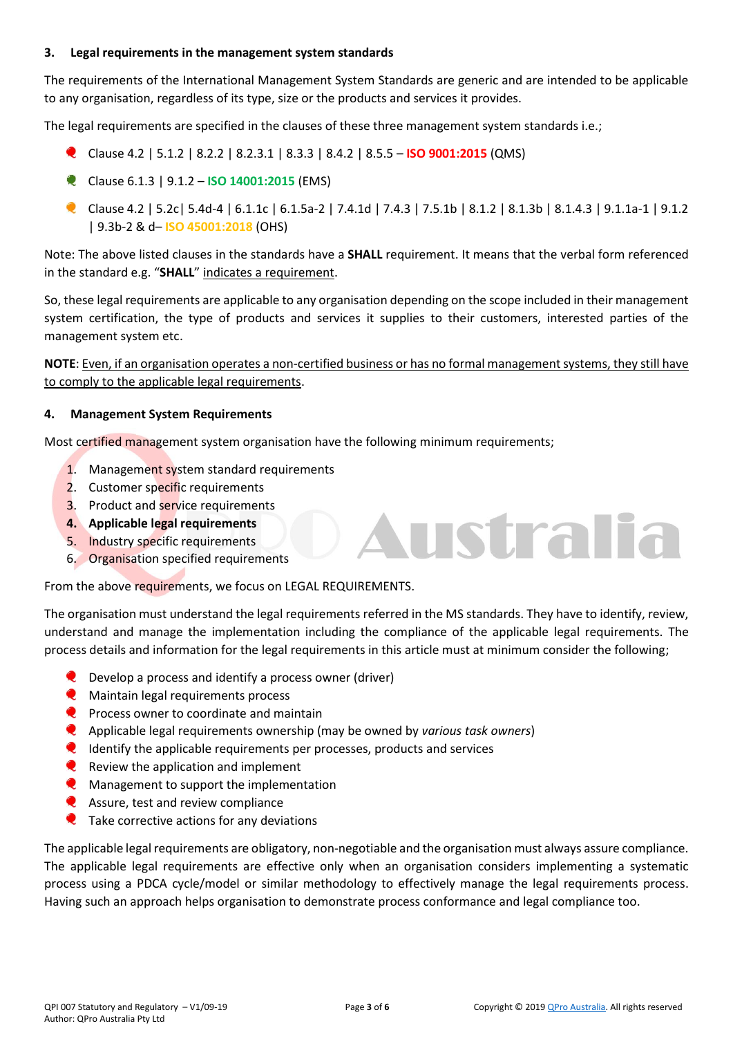### **3. Legal requirements in the management system standards**

The requirements of the International Management System Standards are generic and are intended to be applicable to any organisation, regardless of its type, size or the products and services it provides.

The legal requirements are specified in the clauses of these three management system standards i.e.;

- Clause 4.2 | 5.1.2 | 8.2.2 | 8.2.3.1 | 8.3.3 | 8.4.2 | 8.5.5 **ISO 9001:2015** (QMS)
- Clause 6.1.3 | 9.1.2 **ISO 14001:2015** (EMS)
- Clause 4.2 | 5.2c| 5.4d-4 | 6.1.1c | 6.1.5a-2 | 7.4.1d | 7.4.3 | 7.5.1b | 8.1.2 | 8.1.3b | 8.1.4.3 | 9.1.1a-1 | 9.1.2 | 9.3b-2 & d– **ISO 45001:2018** (OHS)

Note: The above listed clauses in the standards have a **SHALL** requirement. It means that the verbal form referenced in the standard e.g. "**SHALL**" indicates a requirement.

So, these legal requirements are applicable to any organisation depending on the scope included in their management system certification, the type of products and services it supplies to their customers, interested parties of the management system etc.

**NOTE**: Even, if an organisation operates a non-certified business or has no formal management systems, they still have to comply to the applicable legal requirements.

#### **4. Management System Requirements**

Most certified management system organisation have the following minimum requirements;

- 1. Management system standard requirements
- 2. Customer specific requirements
- 3. Product and service requirements
- **4. Applicable legal requirements**
- 5. Industry specific requirements
- 6. Organisation specified requirements

From the above requirements, we focus on LEGAL REQUIREMENTS.

The organisation must understand the legal requirements referred in the MS standards. They have to identify, review, understand and manage the implementation including the compliance of the applicable legal requirements. The process details and information for the legal requirements in this article must at minimum consider the following;

- **Q** Develop a process and identify a process owner (driver)
- **C** Maintain legal requirements process
- $\bullet$  Process owner to coordinate and maintain
- Applicable legal requirements ownership (may be owned by *various task owners*)
- $\bullet$  Identify the applicable requirements per processes, products and services
- $\bullet$  Review the application and implement
- **Q** Management to support the implementation
- **Q** Assure, test and review compliance
- $\bullet$  Take corrective actions for any deviations

The applicable legal requirements are obligatory, non-negotiable and the organisation must always assure compliance. The applicable legal requirements are effective only when an organisation considers implementing a systematic process using a PDCA cycle/model or similar methodology to effectively manage the legal requirements process. Having such an approach helps organisation to demonstrate process conformance and legal compliance too.

<span id="page-2-0"></span>ustra lia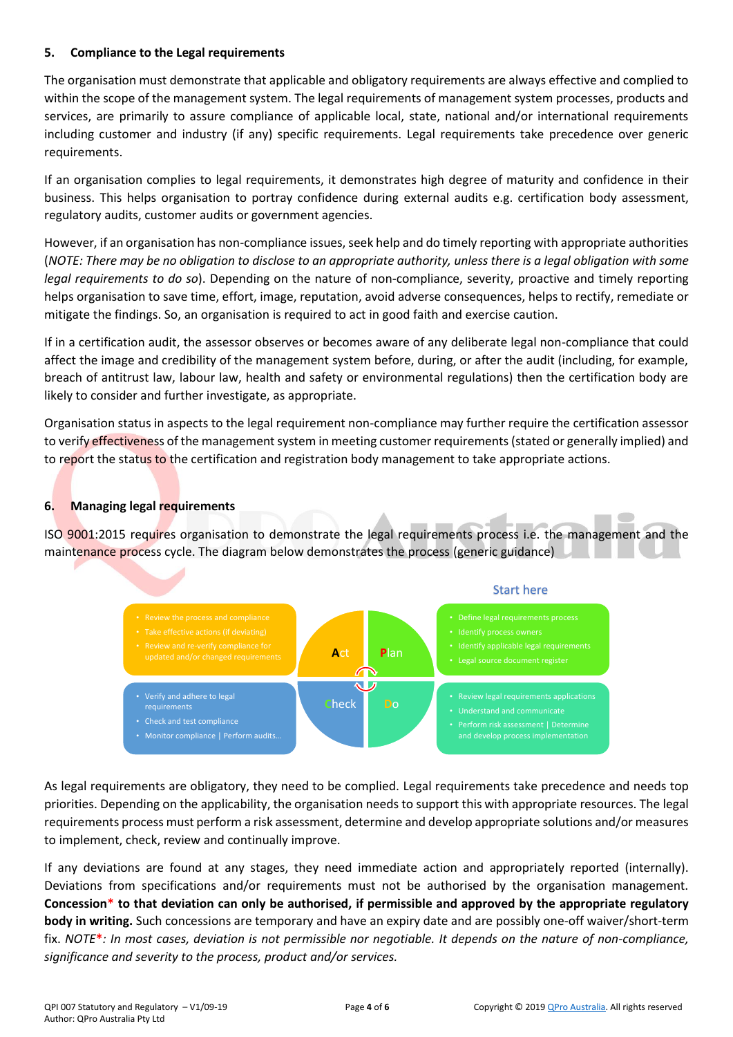### **5. Compliance to the Legal requirements**

The organisation must demonstrate that applicable and obligatory requirements are always effective and complied to within the scope of the management system. The legal requirements of management system processes, products and services, are primarily to assure compliance of applicable local, state, national and/or international requirements including customer and industry (if any) specific requirements. Legal requirements take precedence over generic requirements.

If an organisation complies to legal requirements, it demonstrates high degree of maturity and confidence in their business. This helps organisation to portray confidence during external audits e.g. certification body assessment, regulatory audits, customer audits or government agencies.

However, if an organisation has non-compliance issues, seek help and do timely reporting with appropriate authorities (*NOTE: There may be no obligation to disclose to an appropriate authority, unless there is a legal obligation with some legal requirements to do so*). Depending on the nature of non-compliance, severity, proactive and timely reporting helps organisation to save time, effort, image, reputation, avoid adverse consequences, helps to rectify, remediate or mitigate the findings. So, an organisation is required to act in good faith and exercise caution.

If in a certification audit, the assessor observes or becomes aware of any deliberate legal non-compliance that could affect the image and credibility of the management system before, during, or after the audit (including, for example, breach of antitrust law, labour law, health and safety or environmental regulations) then the certification body are likely to consider and further investigate, as appropriate.

Organisation status in aspects to the legal requirement non-compliance may further require the certification assessor to verify effectiveness of the management system in meeting customer requirements (stated or generally implied) and to report the status to the certification and registration body management to take appropriate actions.

# **6. Managing legal requirements**

ISO 9001:2015 requires organisation to demonstrate the legal requirements process i.e. the management and the maintenance process cycle. The diagram below demonstrates the process (generic guidance)



As legal requirements are obligatory, they need to be complied. Legal requirements take precedence and needs top priorities. Depending on the applicability, the organisation needs to support this with appropriate resources. The legal requirements process must perform a risk assessment, determine and develop appropriate solutions and/or measures to implement, check, review and continually improve.

If any deviations are found at any stages, they need immediate action and appropriately reported (internally). Deviations from specifications and/or requirements must not be authorised by the organisation management. **Concession\* to that deviation can only be authorised, if permissible and approved by the appropriate regulatory body in writing.** Such concessions are temporary and have an expiry date and are possibly one-off waiver/short-term fix. *NOTE***\****: In most cases, deviation is not permissible nor negotiable. It depends on the nature of non-compliance, significance and severity to the process, product and/or services.*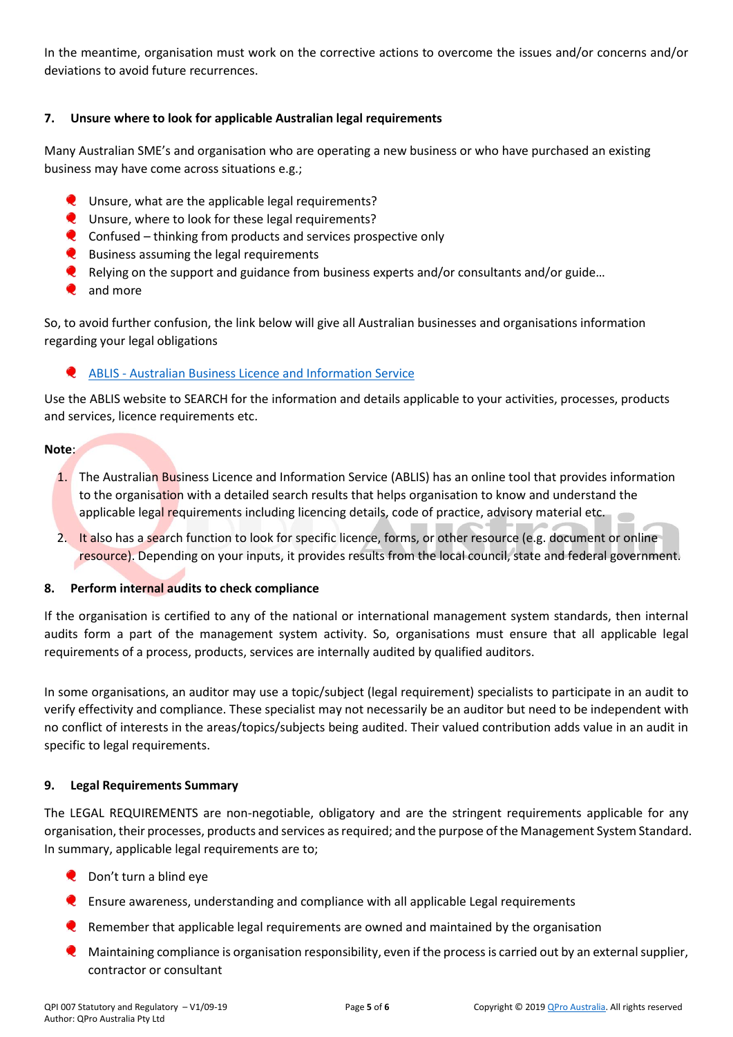In the meantime, organisation must work on the corrective actions to overcome the issues and/or concerns and/or deviations to avoid future recurrences.

# **7. Unsure where to look for applicable Australian legal requirements**

Many Australian SME's and organisation who are operating a new business or who have purchased an existing business may have come across situations e.g.;

- **Q** Unsure, what are the applicable legal requirements?
- **Q** Unsure, where to look for these legal requirements?
- $\bullet$  Confused thinking from products and services prospective only
- **Q** Business assuming the legal requirements
- Relying on the support and guidance from business experts and/or consultants and/or guide...
- **Q** and more

So, to avoid further confusion, the link below will give all Australian businesses and organisations information regarding your legal obligations

# ABLIS - [Australian Business Licence and Information Service](https://ablis.business.gov.au/pages/home.aspx)

Use the ABLIS website to SEARCH for the information and details applicable to your activities, processes, products and services, licence requirements etc.

# **Note**:

- 1. The Australian Business Licence and Information Service (ABLIS) has an online tool that provides information to the organisation with a detailed search results that helps organisation to know and understand the applicable legal requirements including licencing details, code of practice, advisory material etc.
- 2. It also has a search function to look for specific licence, forms, or other resource (e.g. document or online resource). Depending on your inputs, it provides results from the local council, state and federal government.

# **8. Perform internal audits to check compliance**

If the organisation is certified to any of the national or international management system standards, then internal audits form a part of the management system activity. So, organisations must ensure that all applicable legal requirements of a process, products, services are internally audited by qualified auditors.

In some organisations, an auditor may use a topic/subject (legal requirement) specialists to participate in an audit to verify effectivity and compliance. These specialist may not necessarily be an auditor but need to be independent with no conflict of interests in the areas/topics/subjects being audited. Their valued contribution adds value in an audit in specific to legal requirements.

# **9. Legal Requirements Summary**

The LEGAL REQUIREMENTS are non-negotiable, obligatory and are the stringent requirements applicable for any organisation, their processes, products and services as required; and the purpose of the Management System Standard. In summary, applicable legal requirements are to;

- **Q** Don't turn a blind eye
- Ensure awareness, understanding and compliance with all applicable Legal requirements
- Remember that applicable legal requirements are owned and maintained by the organisation
- Maintaining compliance is organisation responsibility, even if the process is carried out by an external supplier, contractor or consultant